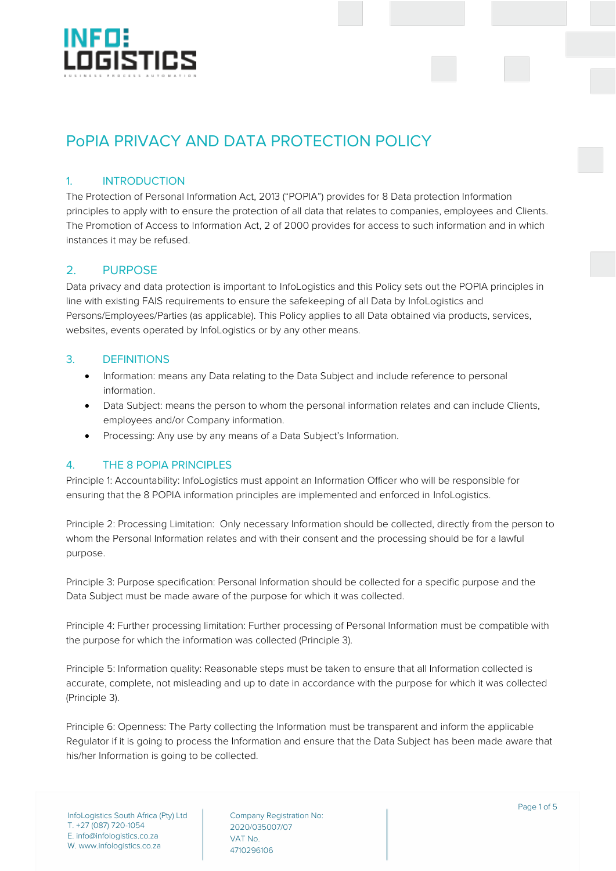

# PoPIA PRIVACY AND DATA PROTECTION POLICY

# 1. INTRODUCTION

The Protection of Personal Information Act, 2013 ("POPIA") provides for 8 Data protection Information principles to apply with to ensure the protection of all data that relates to companies, employees and Clients. The Promotion of Access to Information Act, 2 of 2000 provides for access to such information and in which instances it may be refused.

# 2. PURPOSE

Data privacy and data protection is important to InfoLogistics and this Policy sets out the POPIA principles in line with existing FAIS requirements to ensure the safekeeping of all Data by InfoLogistics and Persons/Employees/Parties (as applicable). This Policy applies to all Data obtained via products, services, websites, events operated by InfoLogistics or by any other means.

# 3. DEFINITIONS

- Information: means any Data relating to the Data Subject and include reference to personal information.
- Data Subject: means the person to whom the personal information relates and can include Clients, employees and/or Company information.
- Processing: Any use by any means of a Data Subject's Information.

# 4. THE 8 POPIA PRINCIPLES

Principle 1: Accountability: InfoLogistics must appoint an Information Officer who will be responsible for ensuring that the 8 POPIA information principles are implemented and enforced in InfoLogistics.

Principle 2: Processing Limitation: Only necessary Information should be collected, directly from the person to whom the Personal Information relates and with their consent and the processing should be for a lawful purpose.

Principle 3: Purpose specification: Personal Information should be collected for a specific purpose and the Data Subject must be made aware of the purpose for which it was collected.

Principle 4: Further processing limitation: Further processing of Personal Information must be compatible with the purpose for which the information was collected (Principle 3).

Principle 5: Information quality: Reasonable steps must be taken to ensure that all Information collected is accurate, complete, not misleading and up to date in accordance with the purpose for which it was collected (Principle 3).

Principle 6: Openness: The Party collecting the Information must be transparent and inform the applicable Regulator if it is going to process the Information and ensure that the Data Subject has been made aware that his/her Information is going to be collected.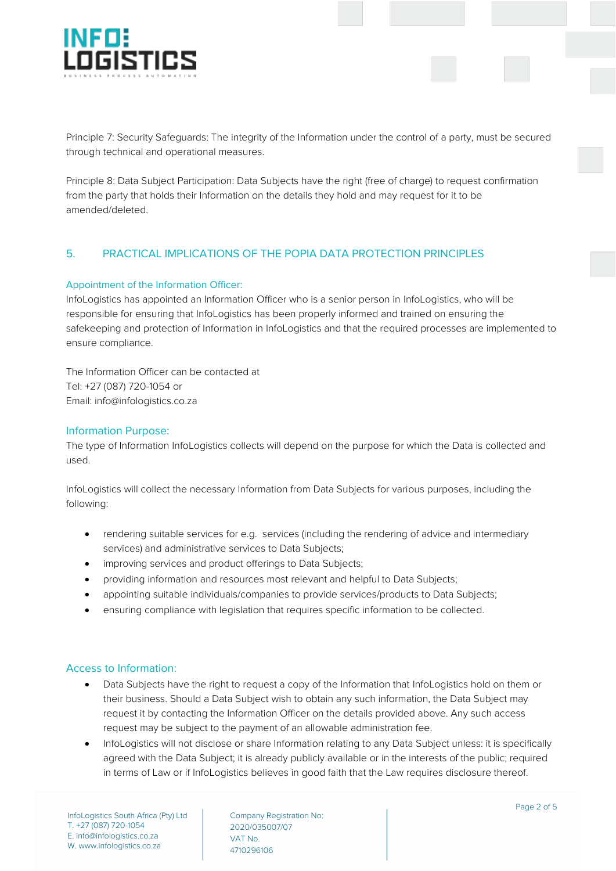

Principle 7: Security Safeguards: The integrity of the Information under the control of a party, must be secured through technical and operational measures.

Principle 8: Data Subject Participation: Data Subjects have the right (free of charge) to request confirmation from the party that holds their Information on the details they hold and may request for it to be amended/deleted.

# 5. PRACTICAL IMPLICATIONS OF THE POPIA DATA PROTECTION PRINCIPLES

#### Appointment of the Information Officer:

InfoLogistics has appointed an Information Officer who is a senior person in InfoLogistics, who will be responsible for ensuring that InfoLogistics has been properly informed and trained on ensuring the safekeeping and protection of Information in InfoLogistics and that the required processes are implemented to ensure compliance.

The Information Officer can be contacted at Tel: +27 (087) 720-1054 or Email: info@infologistics.co.za

#### Information Purpose:

The type of Information InfoLogistics collects will depend on the purpose for which the Data is collected and used.

InfoLogistics will collect the necessary Information from Data Subjects for various purposes, including the following:

- rendering suitable services for e.g. services (including the rendering of advice and intermediary services) and administrative services to Data Subjects;
- improving services and product offerings to Data Subjects;
- providing information and resources most relevant and helpful to Data Subjects;
- appointing suitable individuals/companies to provide services/products to Data Subjects;
- ensuring compliance with legislation that requires specific information to be collected.

#### Access to Information:

- Data Subjects have the right to request a copy of the Information that InfoLogistics hold on them or their business. Should a Data Subject wish to obtain any such information, the Data Subject may request it by contacting the Information Officer on the details provided above. Any such access request may be subject to the payment of an allowable administration fee.
- InfoLogistics will not disclose or share Information relating to any Data Subject unless: it is specifically agreed with the Data Subject; it is already publicly available or in the interests of the public; required in terms of Law or if InfoLogistics believes in good faith that the Law requires disclosure thereof.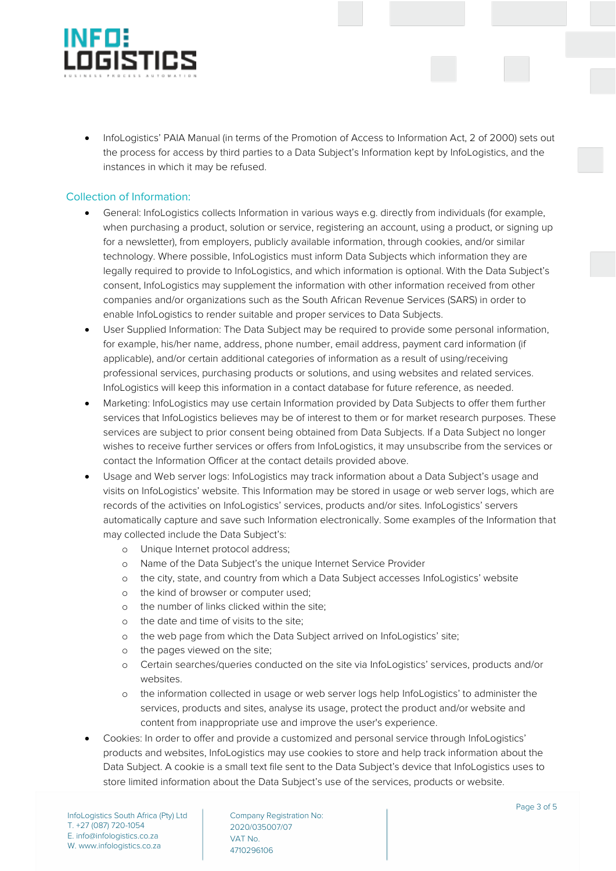

 InfoLogistics' PAIA Manual (in terms of the Promotion of Access to Information Act, 2 of 2000) sets out the process for access by third parties to a Data Subject's Information kept by InfoLogistics, and the instances in which it may be refused.

# Collection of Information:

- General: InfoLogistics collects Information in various ways e.g. directly from individuals (for example, when purchasing a product, solution or service, registering an account, using a product, or signing up for a newsletter), from employers, publicly available information, through cookies, and/or similar technology. Where possible, InfoLogistics must inform Data Subjects which information they are legally required to provide to InfoLogistics, and which information is optional. With the Data Subject's consent, InfoLogistics may supplement the information with other information received from other companies and/or organizations such as the South African Revenue Services (SARS) in order to enable InfoLogistics to render suitable and proper services to Data Subjects.
- User Supplied Information: The Data Subject may be required to provide some personal information, for example, his/her name, address, phone number, email address, payment card information (if applicable), and/or certain additional categories of information as a result of using/receiving professional services, purchasing products or solutions, and using websites and related services. InfoLogistics will keep this information in a contact database for future reference, as needed.
- Marketing: InfoLogistics may use certain Information provided by Data Subjects to offer them further services that InfoLogistics believes may be of interest to them or for market research purposes. These services are subject to prior consent being obtained from Data Subjects. If a Data Subject no longer wishes to receive further services or offers from InfoLogistics, it may unsubscribe from the services or contact the Information Officer at the contact details provided above.
- Usage and Web server logs: InfoLogistics may track information about a Data Subject's usage and visits on InfoLogistics' website. This Information may be stored in usage or web server logs, which are records of the activities on InfoLogistics' services, products and/or sites. InfoLogistics' servers automatically capture and save such Information electronically. Some examples of the Information that may collected include the Data Subject's:
	- o Unique Internet protocol address;
	- o Name of the Data Subject's the unique Internet Service Provider
	- o the city, state, and country from which a Data Subject accesses InfoLogistics' website
	- o the kind of browser or computer used;
	- o the number of links clicked within the site;
	- o the date and time of visits to the site;
	- o the web page from which the Data Subject arrived on InfoLogistics' site;
	- o the pages viewed on the site;
	- o Certain searches/queries conducted on the site via InfoLogistics' services, products and/or websites.
	- o the information collected in usage or web server logs help InfoLogistics' to administer the services, products and sites, analyse its usage, protect the product and/or website and content from inappropriate use and improve the user's experience.
- Cookies: In order to offer and provide a customized and personal service through InfoLogistics' products and websites, InfoLogistics may use cookies to store and help track information about the Data Subject. A cookie is a small text file sent to the Data Subject's device that InfoLogistics uses to store limited information about the Data Subject's use of the services, products or website.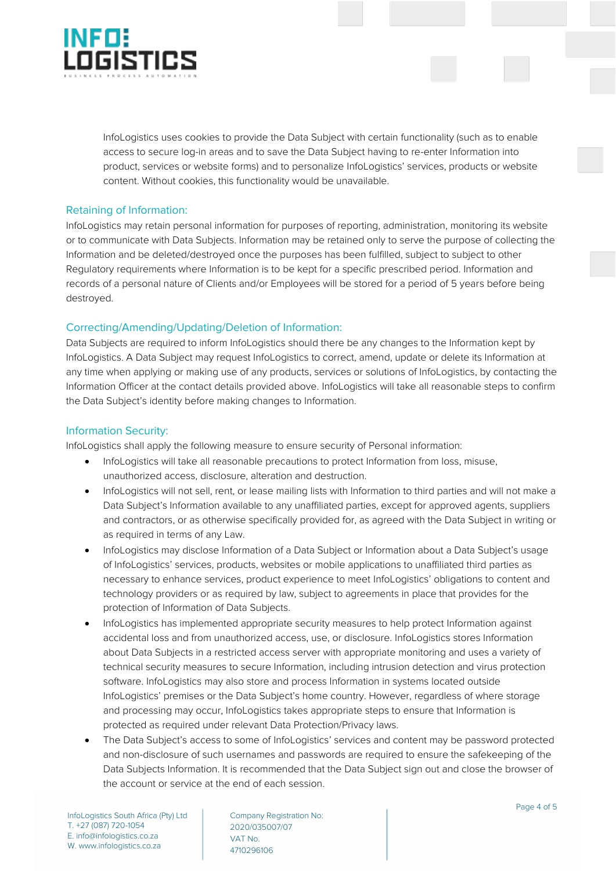

InfoLogistics uses cookies to provide the Data Subject with certain functionality (such as to enable access to secure log-in areas and to save the Data Subject having to re-enter Information into product, services or website forms) and to personalize InfoLogistics' services, products or website content. Without cookies, this functionality would be unavailable.

### Retaining of Information:

InfoLogistics may retain personal information for purposes of reporting, administration, monitoring its website or to communicate with Data Subjects. Information may be retained only to serve the purpose of collecting the Information and be deleted/destroyed once the purposes has been fulfilled, subject to subject to other Regulatory requirements where Information is to be kept for a specific prescribed period. Information and records of a personal nature of Clients and/or Employees will be stored for a period of 5 years before being destroyed.

# Correcting/Amending/Updating/Deletion of Information:

Data Subjects are required to inform InfoLogistics should there be any changes to the Information kept by InfoLogistics. A Data Subject may request InfoLogistics to correct, amend, update or delete its Information at any time when applying or making use of any products, services or solutions of InfoLogistics, by contacting the Information Officer at the contact details provided above. InfoLogistics will take all reasonable steps to confirm the Data Subject's identity before making changes to Information.

# Information Security:

InfoLogistics shall apply the following measure to ensure security of Personal information:

- InfoLogistics will take all reasonable precautions to protect Information from loss, misuse, unauthorized access, disclosure, alteration and destruction.
- InfoLogistics will not sell, rent, or lease mailing lists with Information to third parties and will not make a Data Subject's Information available to any unaffiliated parties, except for approved agents, suppliers and contractors, or as otherwise specifically provided for, as agreed with the Data Subject in writing or as required in terms of any Law.
- InfoLogistics may disclose Information of a Data Subject or Information about a Data Subject's usage of InfoLogistics' services, products, websites or mobile applications to unaffiliated third parties as necessary to enhance services, product experience to meet InfoLogistics' obligations to content and technology providers or as required by law, subject to agreements in place that provides for the protection of Information of Data Subjects.
- InfoLogistics has implemented appropriate security measures to help protect Information against accidental loss and from unauthorized access, use, or disclosure. InfoLogistics stores Information about Data Subjects in a restricted access server with appropriate monitoring and uses a variety of technical security measures to secure Information, including intrusion detection and virus protection software. InfoLogistics may also store and process Information in systems located outside InfoLogistics' premises or the Data Subject's home country. However, regardless of where storage and processing may occur, InfoLogistics takes appropriate steps to ensure that Information is protected as required under relevant Data Protection/Privacy laws.
- The Data Subject's access to some of InfoLogistics' services and content may be password protected and non-disclosure of such usernames and passwords are required to ensure the safekeeping of the Data Subjects Information. It is recommended that the Data Subject sign out and close the browser of the account or service at the end of each session.